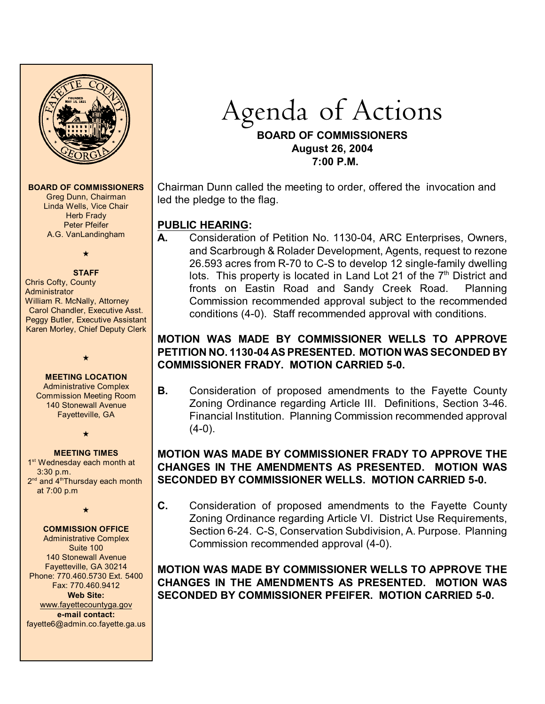

**BOARD OF COMMISSIONERS**

Greg Dunn, Chairman Linda Wells, Vice Chair **Herb Frady** Peter Pfeifer A.G. VanLandingham

# $\star$

**STAFF** Chris Cofty, County **Administrator** William R. McNally, Attorney Carol Chandler, Executive Asst. Peggy Butler, Executive Assistant Karen Morley, Chief Deputy Clerk

#### **MEETING LOCATION**

 $\star$ 

Administrative Complex Commission Meeting Room 140 Stonewall Avenue Fayetteville, GA

 $\star$ 

**MEETING TIMES** 1<sup>st</sup> Wednesday each month at 3:30 p.m.  $2<sup>nd</sup>$  and  $4<sup>th</sup>$ Thursdav each month at 7:00 p.m

 $\star$ 

#### **COMMISSION OFFICE**

Administrative Complex Suite 100 140 Stonewall Avenue Fayetteville, GA 30214 Phone: 770.460.5730 Ext. 5400 Fax: 770.460.9412 **Web Site:** [www.fayettecountyga.gov](http://www.admin.co.fayette.ga.us) **e-mail contact:** fayette6@admin.co.fayette.ga.us

# Agenda of Actions

#### **BOARD OF COMMISSIONERS August 26, 2004 7:00 P.M.**

Chairman Dunn called the meeting to order, offered the invocation and led the pledge to the flag.

# **PUBLIC HEARING:**

**A.** Consideration of Petition No. 1130-04, ARC Enterprises, Owners, and Scarbrough & Rolader Development, Agents, request to rezone 26.593 acres from R-70 to C-S to develop 12 single-family dwelling lots. This property is located in Land Lot 21 of the  $7<sup>th</sup>$  District and fronts on Eastin Road and Sandy Creek Road. Planning Commission recommended approval subject to the recommended conditions (4-0). Staff recommended approval with conditions.

### **MOTION WAS MADE BY COMMISSIONER WELLS TO APPROVE PETITION NO. 1130-04 AS PRESENTED. MOTION WAS SECONDED BY COMMISSIONER FRADY. MOTION CARRIED 5-0.**

**B.** Consideration of proposed amendments to the Fayette County Zoning Ordinance regarding Article III. Definitions, Section 3-46. Financial Institution. Planning Commission recommended approval  $(4-0)$ .

#### **MOTION WAS MADE BY COMMISSIONER FRADY TO APPROVE THE CHANGES IN THE AMENDMENTS AS PRESENTED. MOTION WAS SECONDED BY COMMISSIONER WELLS. MOTION CARRIED 5-0.**

**C.** Consideration of proposed amendments to the Fayette County Zoning Ordinance regarding Article VI. District Use Requirements, Section 6-24. C-S, Conservation Subdivision, A. Purpose. Planning Commission recommended approval (4-0).

**MOTION WAS MADE BY COMMISSIONER WELLS TO APPROVE THE CHANGES IN THE AMENDMENTS AS PRESENTED. MOTION WAS SECONDED BY COMMISSIONER PFEIFER. MOTION CARRIED 5-0.**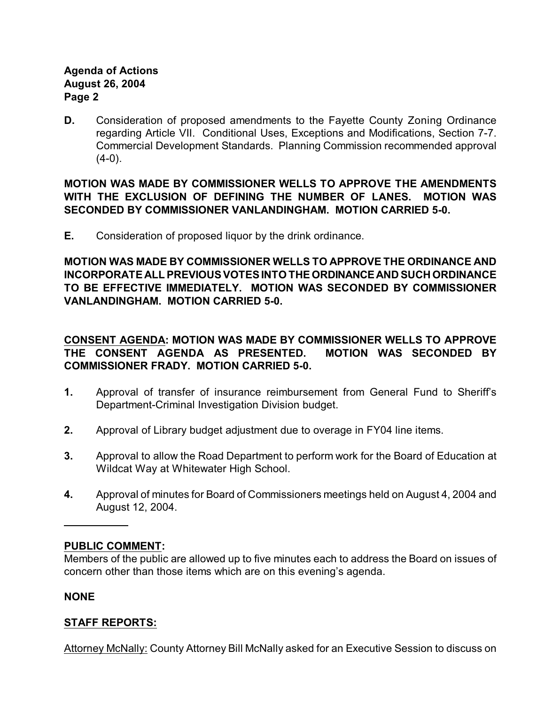#### **Agenda of Actions August 26, 2004 Page 2**

**D.** Consideration of proposed amendments to the Fayette County Zoning Ordinance regarding Article VII. Conditional Uses, Exceptions and Modifications, Section 7-7. Commercial Development Standards. Planning Commission recommended approval  $(4-0)$ .

**MOTION WAS MADE BY COMMISSIONER WELLS TO APPROVE THE AMENDMENTS WITH THE EXCLUSION OF DEFINING THE NUMBER OF LANES. MOTION WAS SECONDED BY COMMISSIONER VANLANDINGHAM. MOTION CARRIED 5-0.**

**E.** Consideration of proposed liquor by the drink ordinance.

**MOTION WAS MADE BY COMMISSIONER WELLS TO APPROVE THE ORDINANCE AND INCORPORATE ALL PREVIOUS VOTES INTO THE ORDINANCE AND SUCH ORDINANCE TO BE EFFECTIVE IMMEDIATELY. MOTION WAS SECONDED BY COMMISSIONER VANLANDINGHAM. MOTION CARRIED 5-0.**

#### **CONSENT AGENDA: MOTION WAS MADE BY COMMISSIONER WELLS TO APPROVE THE CONSENT AGENDA AS PRESENTED. MOTION WAS SECONDED BY COMMISSIONER FRADY. MOTION CARRIED 5-0.**

- **1.** Approval of transfer of insurance reimbursement from General Fund to Sheriff's Department-Criminal Investigation Division budget.
- **2.** Approval of Library budget adjustment due to overage in FY04 line items.
- **3.** Approval to allow the Road Department to perform work for the Board of Education at Wildcat Way at Whitewater High School.
- **4.** Approval of minutes for Board of Commissioners meetings held on August 4, 2004 and August 12, 2004.

#### **PUBLIC COMMENT:**

Members of the public are allowed up to five minutes each to address the Board on issues of concern other than those items which are on this evening's agenda.

#### **NONE**

## **STAFF REPORTS:**

Attorney McNally: County Attorney Bill McNally asked for an Executive Session to discuss on